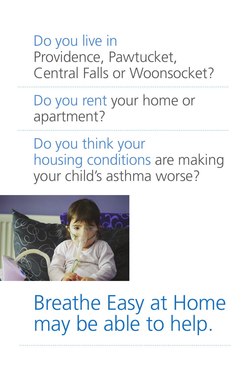## Do you live in Providence, Pawtucket, Central Falls or Woonsocket?

Do you rent your home or apartment?

Do you think your housing conditions are making your child's asthma worse?



Breathe Easy at Home may be able to help.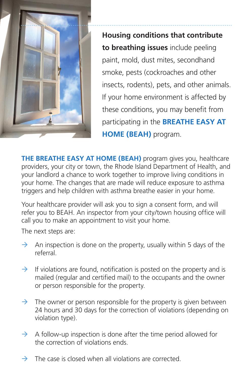

**Housing conditions that contribute to breathing issues** include peeling paint, mold, dust mites, secondhand smoke, pests (cockroaches and other insects, rodents), pets, and other animals. If your home environment is affected by these conditions, you may benefit from participating in the **BREATHE EASY AT HOME (BEAH)** program.

**THE BREATHE EASY AT HOME (BEAH)** program gives you, healthcare providers, your city or town, the Rhode Island Department of Health, and your landlord a chance to work together to improve living conditions in your home. The changes that are made will reduce exposure to asthma triggers and help children with asthma breathe easier in your home.

Your healthcare provider will ask you to sign a consent form, and will refer you to BEAH. An inspector from your city/town housing office will call you to make an appointment to visit your home.

The next steps are:

- $\rightarrow$  An inspection is done on the property, usually within 5 days of the referral.
- $\rightarrow$  If violations are found, notification is posted on the property and is mailed (regular and certified mail) to the occupants and the owner or person responsible for the property.
- $\rightarrow$  The owner or person responsible for the property is given between 24 hours and 30 days for the correction of violations (depending on violation type).
- $\rightarrow$  A follow-up inspection is done after the time period allowed for the correction of violations ends.
- $\rightarrow$  The case is closed when all violations are corrected.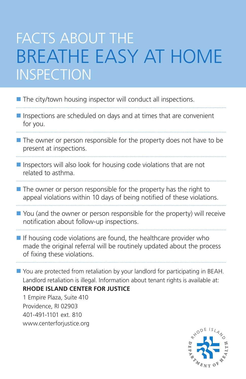## FACTS ABOUT THE BREATHE EASY AT HOME **INSPECTION**

■ The city/town housing inspector will conduct all inspections.

Inspections are scheduled on days and at times that are convenient for you.

- The owner or person responsible for the property does not have to be present at inspections.
- $\blacksquare$  Inspectors will also look for housing code violations that are not related to asthma.
- 
- $\blacksquare$  The owner or person responsible for the property has the right to appeal violations within 10 days of being notified of these violations.
- You (and the owner or person responsible for the property) will receive notification about follow-up inspections.
- $\blacksquare$  If housing code violations are found, the healthcare provider who made the original referral will be routinely updated about the process of fixing these violations.

You are protected from retaliation by your landlord for participating in BEAH. Landlord retaliation is illegal. Information about tenant rights is available at:

**RHODE ISLAND CENTER FOR JUSTICE** 

1 Empire Plaza, Suite 410 Providence, RI 02903 401-491-1101 ext. 810 www.centerforjustice.org